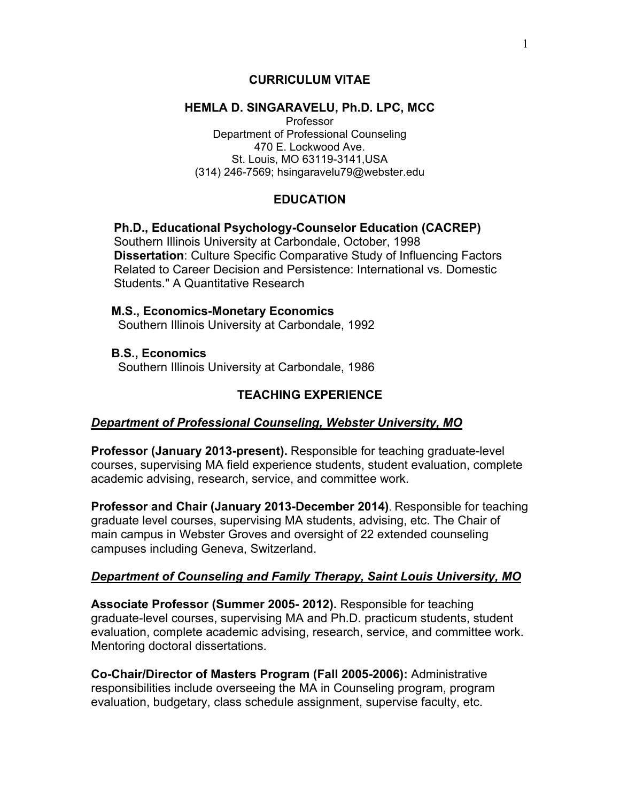## **CURRICULUM VITAE**

### **HEMLA D. SINGARAVELU, Ph.D. LPC, MCC**

Professor Department of Professional Counseling 470 E. Lockwood Ave. St. Louis, MO 63119-3141,USA (314) 246-7569; hsingaravelu79@webster.edu

## **EDUCATION**

## **Ph.D., Educational Psychology-Counselor Education (CACREP)**  Southern Illinois University at Carbondale, October, 1998 **Dissertation**: Culture Specific Comparative Study of Influencing Factors Related to Career Decision and Persistence: International vs. Domestic Students." A Quantitative Research

## **M.S., Economics-Monetary Economics**

Southern Illinois University at Carbondale, 1992

### **B.S., Economics** Southern Illinois University at Carbondale, 1986

## **TEACHING EXPERIENCE**

## *Department of Professional Counseling, Webster University, MO*

**Professor (January 2013-present).** Responsible for teaching graduate-level courses, supervising MA field experience students, student evaluation, complete academic advising, research, service, and committee work.

**Professor and Chair (January 2013-December 2014)**. Responsible for teaching graduate level courses, supervising MA students, advising, etc. The Chair of main campus in Webster Groves and oversight of 22 extended counseling campuses including Geneva, Switzerland.

## *Department of Counseling and Family Therapy, Saint Louis University, MO*

**Associate Professor (Summer 2005- 2012).** Responsible for teaching graduate-level courses, supervising MA and Ph.D. practicum students, student evaluation, complete academic advising, research, service, and committee work. Mentoring doctoral dissertations.

**Co-Chair/Director of Masters Program (Fall 2005-2006):** Administrative responsibilities include overseeing the MA in Counseling program, program evaluation, budgetary, class schedule assignment, supervise faculty, etc.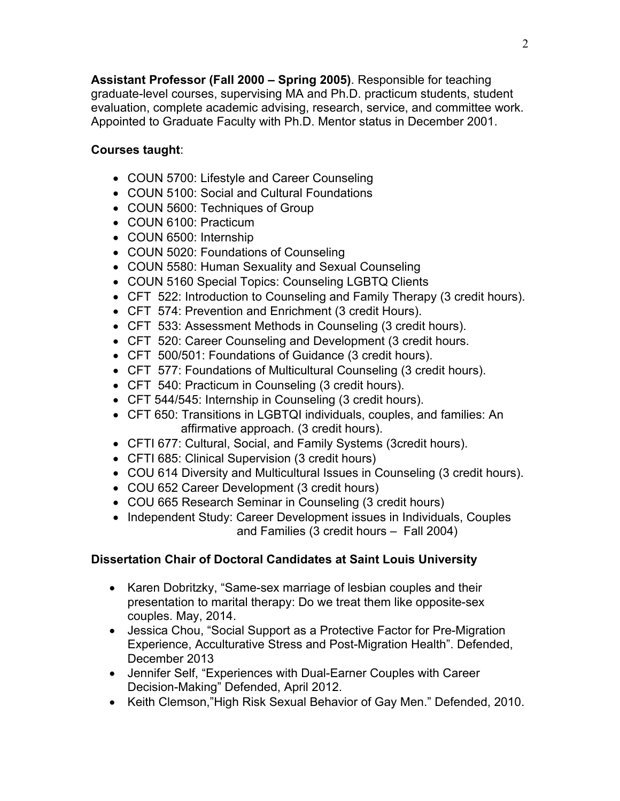**Assistant Professor (Fall 2000 – Spring 2005)**. Responsible for teaching graduate-level courses, supervising MA and Ph.D. practicum students, student evaluation, complete academic advising, research, service, and committee work. Appointed to Graduate Faculty with Ph.D. Mentor status in December 2001.

## **Courses taught**:

- COUN 5700: Lifestyle and Career Counseling
- COUN 5100: Social and Cultural Foundations
- COUN 5600: Techniques of Group
- COUN 6100: Practicum
- COUN 6500: Internship
- COUN 5020: Foundations of Counseling
- COUN 5580: Human Sexuality and Sexual Counseling
- COUN 5160 Special Topics: Counseling LGBTQ Clients
- CFT 522: Introduction to Counseling and Family Therapy (3 credit hours).
- CFT 574: Prevention and Enrichment (3 credit Hours).
- CFT 533: Assessment Methods in Counseling (3 credit hours).
- CFT 520: Career Counseling and Development (3 credit hours.
- CFT 500/501: Foundations of Guidance (3 credit hours).
- CFT 577: Foundations of Multicultural Counseling (3 credit hours).
- CFT 540: Practicum in Counseling (3 credit hours).
- CFT 544/545: Internship in Counseling (3 credit hours).
- CFT 650: Transitions in LGBTQI individuals, couples, and families: An affirmative approach. (3 credit hours).
- CFTI 677: Cultural, Social, and Family Systems (3credit hours).
- CFTI 685: Clinical Supervision (3 credit hours)
- COU 614 Diversity and Multicultural Issues in Counseling (3 credit hours).
- COU 652 Career Development (3 credit hours)
- COU 665 Research Seminar in Counseling (3 credit hours)
- Independent Study: Career Development issues in Individuals, Couples and Families (3 credit hours – Fall 2004)

# **Dissertation Chair of Doctoral Candidates at Saint Louis University**

- Karen Dobritzky, "Same-sex marriage of lesbian couples and their presentation to marital therapy: Do we treat them like opposite-sex couples. May, 2014.
- Jessica Chou, "Social Support as a Protective Factor for Pre-Migration Experience, Acculturative Stress and Post-Migration Health". Defended, December 2013
- Jennifer Self, "Experiences with Dual-Earner Couples with Career Decision-Making" Defended, April 2012.
- Keith Clemson,"High Risk Sexual Behavior of Gay Men." Defended, 2010.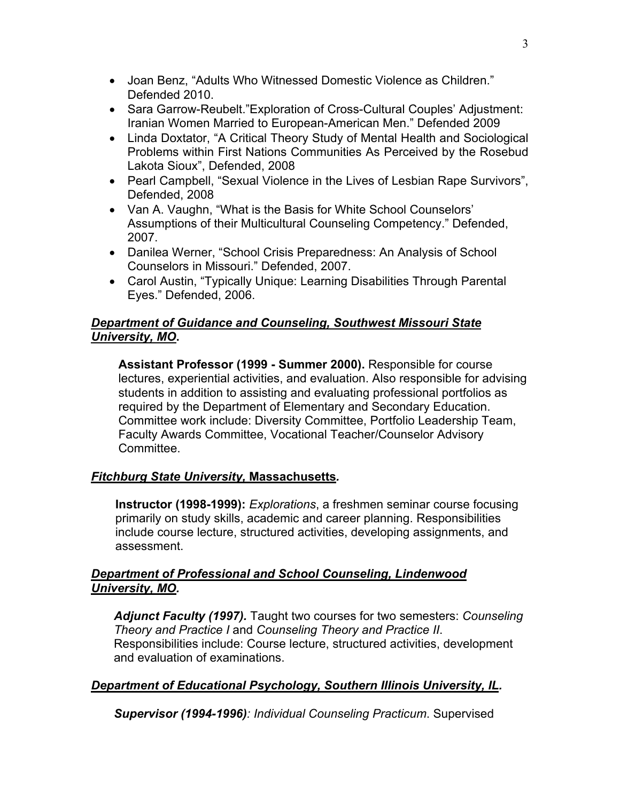- Joan Benz, "Adults Who Witnessed Domestic Violence as Children." Defended 2010.
- Sara Garrow-Reubelt."Exploration of Cross-Cultural Couples' Adjustment: Iranian Women Married to European-American Men." Defended 2009
- Linda Doxtator, "A Critical Theory Study of Mental Health and Sociological Problems within First Nations Communities As Perceived by the Rosebud Lakota Sioux", Defended, 2008
- Pearl Campbell, "Sexual Violence in the Lives of Lesbian Rape Survivors", Defended, 2008
- Van A. Vaughn, "What is the Basis for White School Counselors' Assumptions of their Multicultural Counseling Competency." Defended, 2007.
- Danilea Werner, "School Crisis Preparedness: An Analysis of School Counselors in Missouri." Defended, 2007.
- Carol Austin, "Typically Unique: Learning Disabilities Through Parental Eyes." Defended, 2006.

## *Department of Guidance and Counseling, Southwest Missouri State University, MO***.**

**Assistant Professor (1999 - Summer 2000).** Responsible for course lectures, experiential activities, and evaluation. Also responsible for advising students in addition to assisting and evaluating professional portfolios as required by the Department of Elementary and Secondary Education. Committee work include: Diversity Committee, Portfolio Leadership Team, Faculty Awards Committee, Vocational Teacher/Counselor Advisory Committee.

## *Fitchburg State University,* **Massachusetts***.*

**Instructor (1998-1999):** *Explorations*, a freshmen seminar course focusing primarily on study skills, academic and career planning. Responsibilities include course lecture, structured activities, developing assignments, and assessment.

## *Department of Professional and School Counseling, Lindenwood University, MO.*

*Adjunct Faculty (1997).* Taught two courses for two semesters: *Counseling Theory and Practice I* and *Counseling Theory and Practice II*. Responsibilities include: Course lecture, structured activities, development and evaluation of examinations.

## *Department of Educational Psychology, Southern Illinois University, IL.*

*Supervisor (1994-1996): Individual Counseling Practicum*. Supervised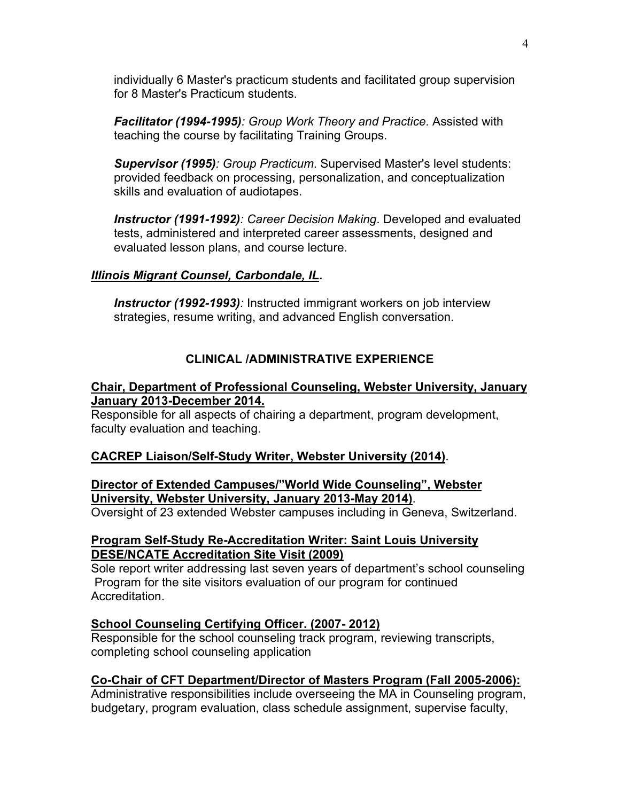individually 6 Master's practicum students and facilitated group supervision for 8 Master's Practicum students.

*Facilitator (1994-1995): Group Work Theory and Practice*. Assisted with teaching the course by facilitating Training Groups.

*Supervisor (1995): Group Practicum*. Supervised Master's level students: provided feedback on processing, personalization, and conceptualization skills and evaluation of audiotapes.

*Instructor (1991-1992): Career Decision Making*. Developed and evaluated tests, administered and interpreted career assessments, designed and evaluated lesson plans, and course lecture.

## *Illinois Migrant Counsel, Carbondale, IL.*

*Instructor (1992-1993):* Instructed immigrant workers on job interview strategies, resume writing, and advanced English conversation.

## **CLINICAL /ADMINISTRATIVE EXPERIENCE**

## **Chair, Department of Professional Counseling, Webster University, January January 2013-December 2014.**

Responsible for all aspects of chairing a department, program development, faculty evaluation and teaching.

## **CACREP Liaison/Self-Study Writer, Webster University (2014)**.

## **Director of Extended Campuses/"World Wide Counseling", Webster University, Webster University, January 2013-May 2014)**.

Oversight of 23 extended Webster campuses including in Geneva, Switzerland.

## **Program Self-Study Re-Accreditation Writer: Saint Louis University DESE/NCATE Accreditation Site Visit (2009)**

Sole report writer addressing last seven years of department's school counseling Program for the site visitors evaluation of our program for continued Accreditation.

## **School Counseling Certifying Officer. (2007- 2012)**

Responsible for the school counseling track program, reviewing transcripts, completing school counseling application

## **Co-Chair of CFT Department/Director of Masters Program (Fall 2005-2006):**

Administrative responsibilities include overseeing the MA in Counseling program, budgetary, program evaluation, class schedule assignment, supervise faculty,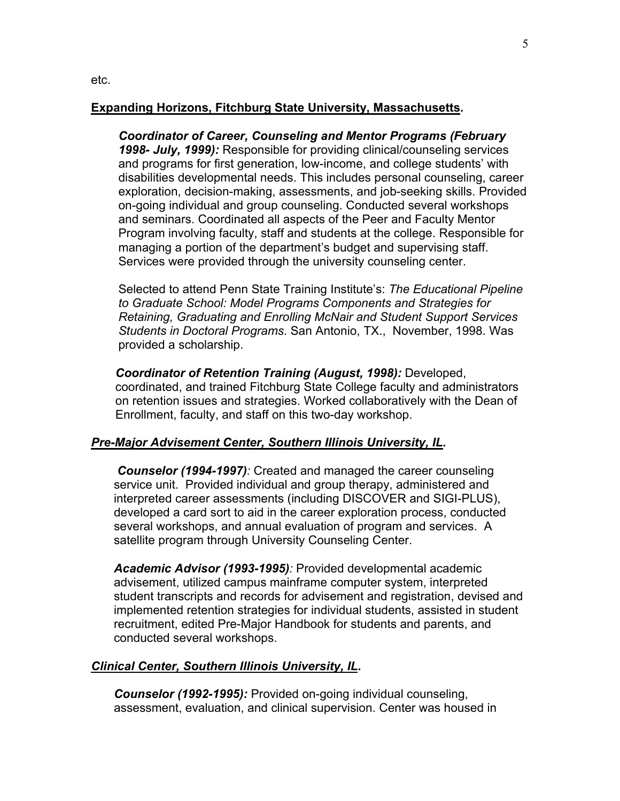#### **Expanding Horizons, Fitchburg State University, Massachusetts***.*

*Coordinator of Career, Counseling and Mentor Programs (February 1998- July, 1999):* Responsible for providing clinical/counseling services and programs for first generation, low-income, and college students' with disabilities developmental needs. This includes personal counseling, career exploration, decision-making, assessments, and job-seeking skills. Provided on-going individual and group counseling. Conducted several workshops and seminars. Coordinated all aspects of the Peer and Faculty Mentor Program involving faculty, staff and students at the college. Responsible for managing a portion of the department's budget and supervising staff. Services were provided through the university counseling center.

Selected to attend Penn State Training Institute's: *The Educational Pipeline to Graduate School: Model Programs Components and Strategies for Retaining, Graduating and Enrolling McNair and Student Support Services Students in Doctoral Programs*. San Antonio, TX., November, 1998. Was provided a scholarship.

*Coordinator of Retention Training (August, 1998):* Developed, coordinated, and trained Fitchburg State College faculty and administrators on retention issues and strategies. Worked collaboratively with the Dean of Enrollment, faculty, and staff on this two-day workshop.

#### *Pre-Major Advisement Center, Southern Illinois University, IL.*

 *Counselor (1994-1997):* Created and managed the career counseling service unit. Provided individual and group therapy, administered and interpreted career assessments (including DISCOVER and SIGI-PLUS), developed a card sort to aid in the career exploration process, conducted several workshops, and annual evaluation of program and services. A satellite program through University Counseling Center.

*Academic Advisor (1993-1995):* Provided developmental academic advisement, utilized campus mainframe computer system, interpreted student transcripts and records for advisement and registration, devised and implemented retention strategies for individual students, assisted in student recruitment, edited Pre-Major Handbook for students and parents, and conducted several workshops.

#### *Clinical Center, Southern Illinois University, IL***.**

*Counselor (1992-1995):* Provided on-going individual counseling, assessment, evaluation, and clinical supervision. Center was housed in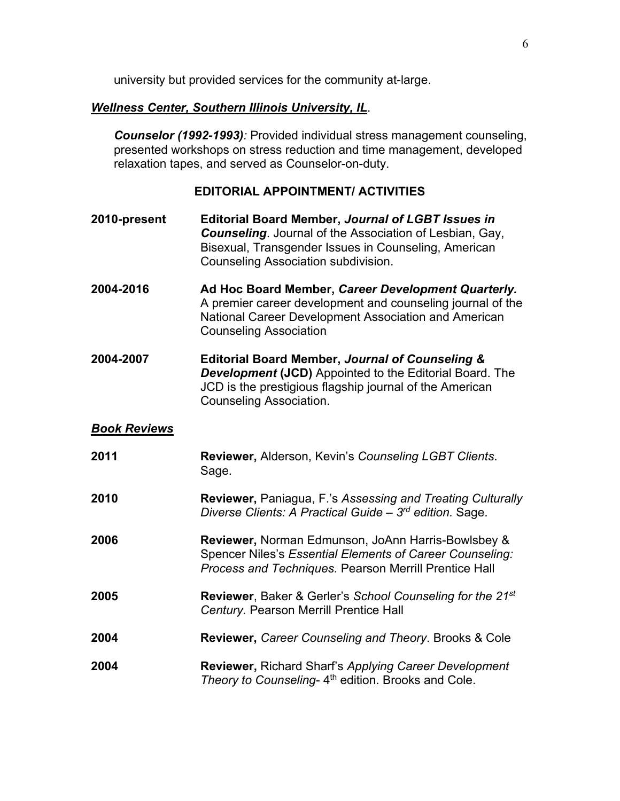university but provided services for the community at-large.

## *Wellness Center, Southern Illinois University, IL*.

*Counselor (1992-1993):* Provided individual stress management counseling, presented workshops on stress reduction and time management, developed relaxation tapes, and served as Counselor-on-duty.

### **EDITORIAL APPOINTMENT/ ACTIVITIES**

- **2010-present Editorial Board Member,** *Journal of LGBT Issues in Counseling*. Journal of the Association of Lesbian, Gay, Bisexual, Transgender Issues in Counseling, American Counseling Association subdivision.
- **2004-2016 Ad Hoc Board Member,** *Career Development Quarterly.*  A premier career development and counseling journal of the National Career Development Association and American Counseling Association
- **2004-2007 Editorial Board Member,** *Journal of Counseling & Development* **(JCD)** Appointed to the Editorial Board. The JCD is the prestigious flagship journal of the American Counseling Association.

### *Book Reviews*

**2011 Reviewer,** Alderson, Kevin's *Counseling LGBT Clients*. Sage. **2010 Reviewer,** Paniagua, F.'s *Assessing and Treating Culturally Diverse Clients: A Practical Guide – 3rd edition.* Sage. **2006 Reviewer,** Norman Edmunson, JoAnn Harris-Bowlsbey & Spencer Niles's *Essential Elements of Career Counseling: Process and Techniques.* Pearson Merrill Prentice Hall **2005 Reviewer**, Baker & Gerler's *School Counseling for the 21st Century.* Pearson Merrill Prentice Hall **2004 Reviewer,** *Career Counseling and Theory*. Brooks & Cole **2004 Reviewer,** Richard Sharf's *Applying Career Development Theory to Counseling-4<sup>th</sup>* edition. Brooks and Cole.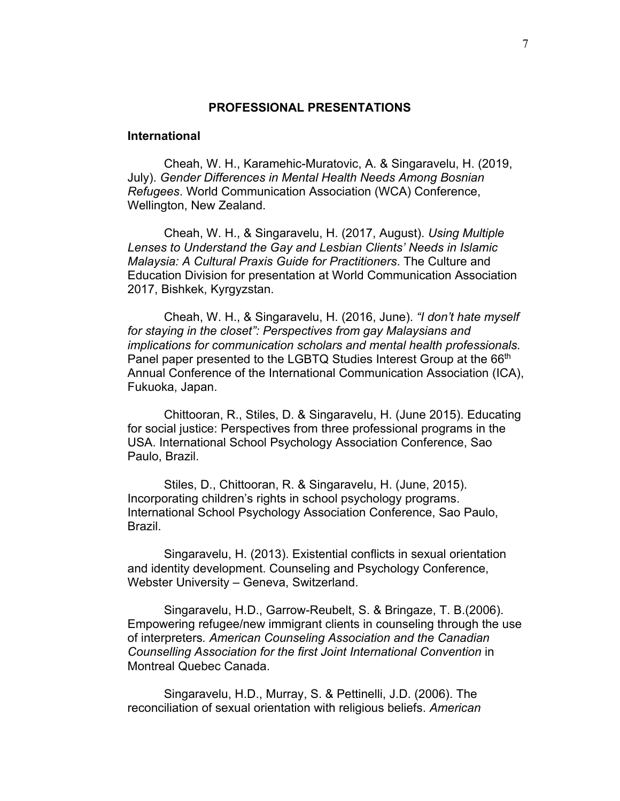#### **PROFESSIONAL PRESENTATIONS**

#### **International**

Cheah, W. H., Karamehic-Muratovic, A. & Singaravelu, H. (2019, July). *Gender Differences in Mental Health Needs Among Bosnian Refugees*. World Communication Association (WCA) Conference, Wellington, New Zealand.

Cheah, W. H., & Singaravelu, H. (2017, August). *Using Multiple Lenses to Understand the Gay and Lesbian Clients' Needs in Islamic Malaysia: A Cultural Praxis Guide for Practitioners*. The Culture and Education Division for presentation at World Communication Association 2017, Bishkek, Kyrgyzstan.

Cheah, W. H., & Singaravelu, H. (2016, June). *"I don't hate myself for staying in the closet": Perspectives from gay Malaysians and implications for communication scholars and mental health professionals.*  Panel paper presented to the LGBTQ Studies Interest Group at the 66<sup>th</sup> Annual Conference of the International Communication Association (ICA), Fukuoka, Japan.

Chittooran, R., Stiles, D. & Singaravelu, H. (June 2015). Educating for social justice: Perspectives from three professional programs in the USA. International School Psychology Association Conference, Sao Paulo, Brazil.

Stiles, D., Chittooran, R. & Singaravelu, H. (June, 2015). Incorporating children's rights in school psychology programs. International School Psychology Association Conference, Sao Paulo, Brazil.

Singaravelu, H. (2013). Existential conflicts in sexual orientation and identity development. Counseling and Psychology Conference, Webster University – Geneva, Switzerland.

Singaravelu, H.D., Garrow-Reubelt, S. & Bringaze, T. B.(2006). Empowering refugee/new immigrant clients in counseling through the use of interpreters*. American Counseling Association and the Canadian Counselling Association for the first Joint International Convention* in Montreal Quebec Canada.

Singaravelu, H.D., Murray, S. & Pettinelli, J.D. (2006). The reconciliation of sexual orientation with religious beliefs. *American*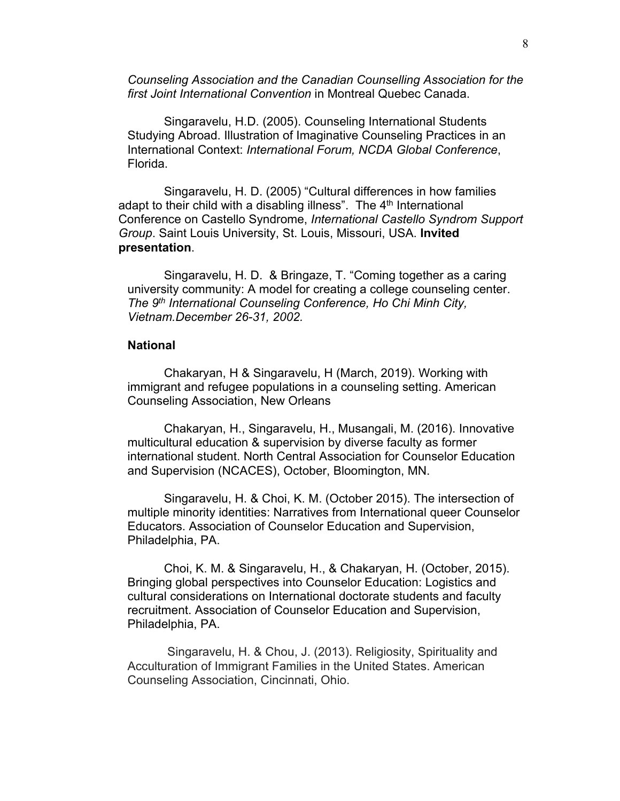*Counseling Association and the Canadian Counselling Association for the first Joint International Convention* in Montreal Quebec Canada.

Singaravelu, H.D. (2005). Counseling International Students Studying Abroad. Illustration of Imaginative Counseling Practices in an International Context: *International Forum, NCDA Global Conference*, Florida.

Singaravelu, H. D. (2005) "Cultural differences in how families adapt to their child with a disabling illness". The  $4<sup>th</sup>$  International Conference on Castello Syndrome, *International Castello Syndrom Support Group*. Saint Louis University, St. Louis, Missouri, USA. **Invited presentation**.

Singaravelu, H. D. & Bringaze, T. "Coming together as a caring university community: A model for creating a college counseling center. *The 9th International Counseling Conference, Ho Chi Minh City, Vietnam.December 26-31, 2002.*

#### **National**

Chakaryan, H & Singaravelu, H (March, 2019). Working with immigrant and refugee populations in a counseling setting. American Counseling Association, New Orleans

Chakaryan, H., Singaravelu, H., Musangali, M. (2016). Innovative multicultural education & supervision by diverse faculty as former international student. North Central Association for Counselor Education and Supervision (NCACES), October, Bloomington, MN.

Singaravelu, H. & Choi, K. M. (October 2015). The intersection of multiple minority identities: Narratives from International queer Counselor Educators. Association of Counselor Education and Supervision, Philadelphia, PA.

Choi, K. M. & Singaravelu, H., & Chakaryan, H. (October, 2015). Bringing global perspectives into Counselor Education: Logistics and cultural considerations on International doctorate students and faculty recruitment. Association of Counselor Education and Supervision, Philadelphia, PA.

 Singaravelu, H. & Chou, J. (2013). Religiosity, Spirituality and Acculturation of Immigrant Families in the United States. American Counseling Association, Cincinnati, Ohio.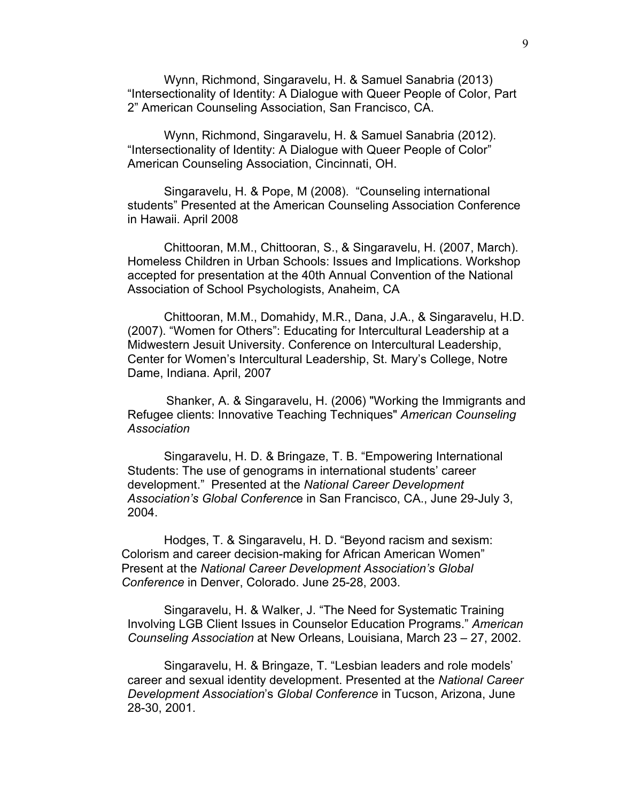Wynn, Richmond, Singaravelu, H. & Samuel Sanabria (2013) "Intersectionality of Identity: A Dialogue with Queer People of Color, Part 2" American Counseling Association, San Francisco, CA.

Wynn, Richmond, Singaravelu, H. & Samuel Sanabria (2012). "Intersectionality of Identity: A Dialogue with Queer People of Color" American Counseling Association, Cincinnati, OH.

Singaravelu, H. & Pope, M (2008). "Counseling international students" Presented at the American Counseling Association Conference in Hawaii. April 2008

Chittooran, M.M., Chittooran, S., & Singaravelu, H. (2007, March). Homeless Children in Urban Schools: Issues and Implications. Workshop accepted for presentation at the 40th Annual Convention of the National Association of School Psychologists, Anaheim, CA

Chittooran, M.M., Domahidy, M.R., Dana, J.A., & Singaravelu, H.D. (2007). "Women for Others": Educating for Intercultural Leadership at a Midwestern Jesuit University. Conference on Intercultural Leadership, Center for Women's Intercultural Leadership, St. Mary's College, Notre Dame, Indiana. April, 2007

Shanker, A. & Singaravelu, H. (2006) "Working the Immigrants and Refugee clients: Innovative Teaching Techniques" *American Counseling Association* 

Singaravelu, H. D. & Bringaze, T. B. "Empowering International Students: The use of genograms in international students' career development." Presented at the *National Career Development Association's Global Conferenc*e in San Francisco, CA., June 29-July 3, 2004.

Hodges, T. & Singaravelu, H. D. "Beyond racism and sexism: Colorism and career decision-making for African American Women" Present at the *National Career Development Association's Global Conference* in Denver, Colorado. June 25-28, 2003.

Singaravelu, H. & Walker, J. "The Need for Systematic Training Involving LGB Client Issues in Counselor Education Programs." *American Counseling Association* at New Orleans, Louisiana, March 23 – 27, 2002.

Singaravelu, H. & Bringaze, T. "Lesbian leaders and role models' career and sexual identity development. Presented at the *National Career Development Association*'s *Global Conference* in Tucson, Arizona, June 28-30, 2001.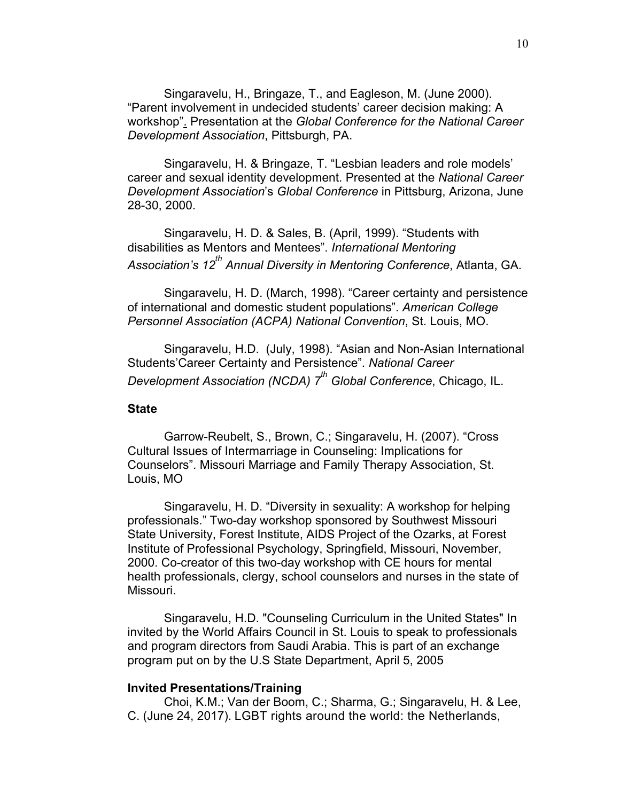Singaravelu, H., Bringaze, T., and Eagleson, M. (June 2000). "Parent involvement in undecided students' career decision making: A workshop". Presentation at the *Global Conference for the National Career Development Association*, Pittsburgh, PA.

Singaravelu, H. & Bringaze, T. "Lesbian leaders and role models' career and sexual identity development. Presented at the *National Career Development Association*'s *Global Conference* in Pittsburg, Arizona, June 28-30, 2000.

Singaravelu, H. D. & Sales, B. (April, 1999). "Students with disabilities as Mentors and Mentees". *International Mentoring*  Association's 12<sup>th</sup> Annual Diversity in Mentoring Conference, Atlanta, GA.

Singaravelu, H. D. (March, 1998). "Career certainty and persistence of international and domestic student populations". *American College Personnel Association (ACPA) National Convention*, St. Louis, MO.

Singaravelu, H.D. (July, 1998). "Asian and Non-Asian International Students'Career Certainty and Persistence". *National Career Development Association (NCDA)* 7<sup>th</sup> Global Conference, Chicago, IL.

#### **State**

Garrow-Reubelt, S., Brown, C.; Singaravelu, H. (2007). "Cross Cultural Issues of Intermarriage in Counseling: Implications for Counselors". Missouri Marriage and Family Therapy Association, St. Louis, MO

Singaravelu, H. D. "Diversity in sexuality: A workshop for helping professionals." Two-day workshop sponsored by Southwest Missouri State University, Forest Institute, AIDS Project of the Ozarks, at Forest Institute of Professional Psychology, Springfield, Missouri, November, 2000. Co-creator of this two-day workshop with CE hours for mental health professionals, clergy, school counselors and nurses in the state of Missouri.

Singaravelu, H.D. "Counseling Curriculum in the United States" In invited by the World Affairs Council in St. Louis to speak to professionals and program directors from Saudi Arabia. This is part of an exchange program put on by the U.S State Department, April 5, 2005

#### **Invited Presentations/Training**

Choi, K.M.; Van der Boom, C.; Sharma, G.; Singaravelu, H. & Lee, C. (June 24, 2017). LGBT rights around the world: the Netherlands,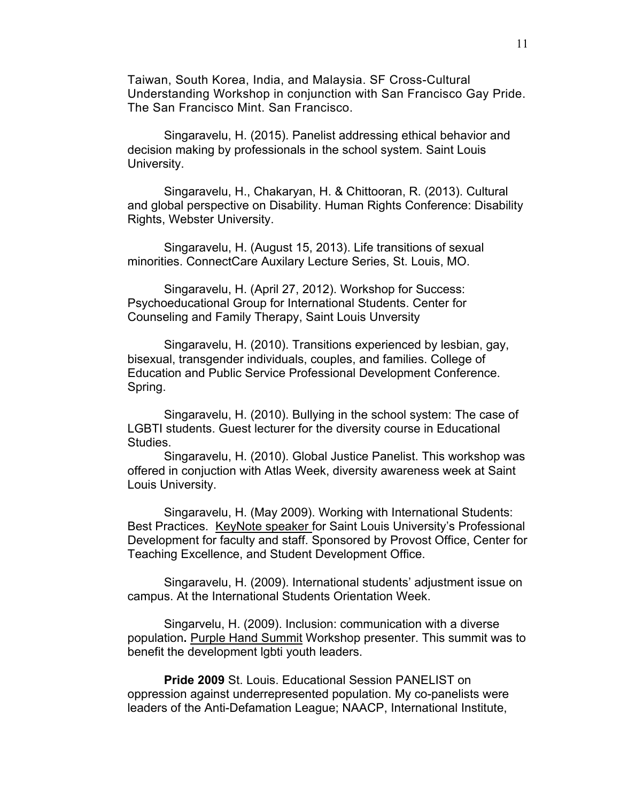Taiwan, South Korea, India, and Malaysia. SF Cross-Cultural Understanding Workshop in conjunction with San Francisco Gay Pride. The San Francisco Mint. San Francisco.

Singaravelu, H. (2015). Panelist addressing ethical behavior and decision making by professionals in the school system. Saint Louis University.

Singaravelu, H., Chakaryan, H. & Chittooran, R. (2013). Cultural and global perspective on Disability. Human Rights Conference: Disability Rights, Webster University.

Singaravelu, H. (August 15, 2013). Life transitions of sexual minorities. ConnectCare Auxilary Lecture Series, St. Louis, MO.

Singaravelu, H. (April 27, 2012). Workshop for Success: Psychoeducational Group for International Students. Center for Counseling and Family Therapy, Saint Louis Unversity

Singaravelu, H. (2010). Transitions experienced by lesbian, gay, bisexual, transgender individuals, couples, and families. College of Education and Public Service Professional Development Conference. Spring.

Singaravelu, H. (2010). Bullying in the school system: The case of LGBTI students. Guest lecturer for the diversity course in Educational Studies.

Singaravelu, H. (2010). Global Justice Panelist. This workshop was offered in conjuction with Atlas Week, diversity awareness week at Saint Louis University.

Singaravelu, H. (May 2009). Working with International Students: Best Practices. KeyNote speaker for Saint Louis University's Professional Development for faculty and staff. Sponsored by Provost Office, Center for Teaching Excellence, and Student Development Office.

Singaravelu, H. (2009). International students' adjustment issue on campus. At the International Students Orientation Week.

Singarvelu, H. (2009). Inclusion: communication with a diverse population**.** Purple Hand Summit Workshop presenter. This summit was to benefit the development lgbti youth leaders.

**Pride 2009** St. Louis. Educational Session PANELIST on oppression against underrepresented population. My co-panelists were leaders of the Anti-Defamation League; NAACP, International Institute,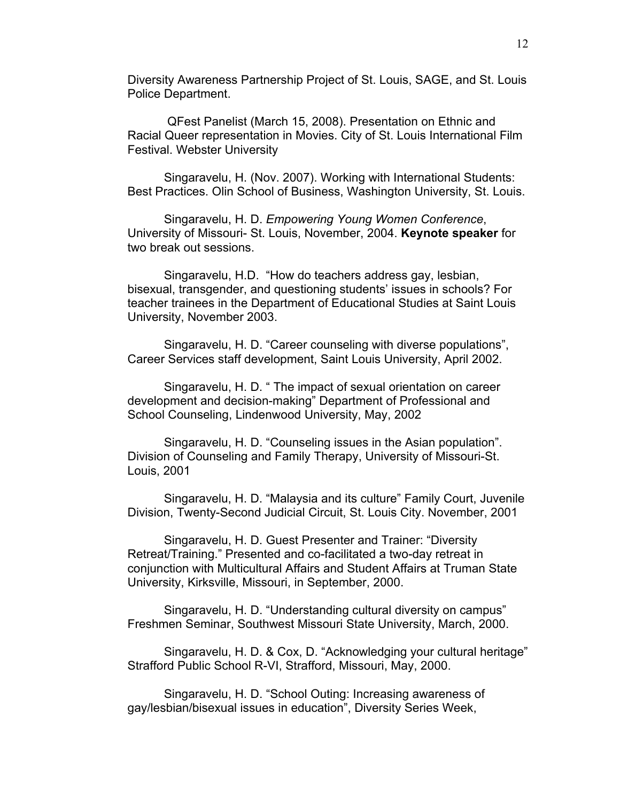Diversity Awareness Partnership Project of St. Louis, SAGE, and St. Louis Police Department.

 QFest Panelist (March 15, 2008). Presentation on Ethnic and Racial Queer representation in Movies. City of St. Louis International Film Festival. Webster University

Singaravelu, H. (Nov. 2007). Working with International Students: Best Practices. Olin School of Business, Washington University, St. Louis.

Singaravelu, H. D. *Empowering Young Women Conference*, University of Missouri- St. Louis, November, 2004. **Keynote speaker** for two break out sessions.

Singaravelu, H.D. "How do teachers address gay, lesbian, bisexual, transgender, and questioning students' issues in schools? For teacher trainees in the Department of Educational Studies at Saint Louis University, November 2003.

Singaravelu, H. D. "Career counseling with diverse populations", Career Services staff development, Saint Louis University, April 2002.

Singaravelu, H. D. " The impact of sexual orientation on career development and decision-making" Department of Professional and School Counseling, Lindenwood University, May, 2002

Singaravelu, H. D. "Counseling issues in the Asian population". Division of Counseling and Family Therapy, University of Missouri-St. Louis, 2001

Singaravelu, H. D. "Malaysia and its culture" Family Court, Juvenile Division, Twenty-Second Judicial Circuit, St. Louis City. November, 2001

Singaravelu, H. D. Guest Presenter and Trainer: "Diversity Retreat/Training." Presented and co-facilitated a two-day retreat in conjunction with Multicultural Affairs and Student Affairs at Truman State University, Kirksville, Missouri, in September, 2000.

Singaravelu, H. D. "Understanding cultural diversity on campus" Freshmen Seminar, Southwest Missouri State University, March, 2000.

Singaravelu, H. D. & Cox, D. "Acknowledging your cultural heritage" Strafford Public School R-VI, Strafford, Missouri, May, 2000.

Singaravelu, H. D. "School Outing: Increasing awareness of gay/lesbian/bisexual issues in education", Diversity Series Week,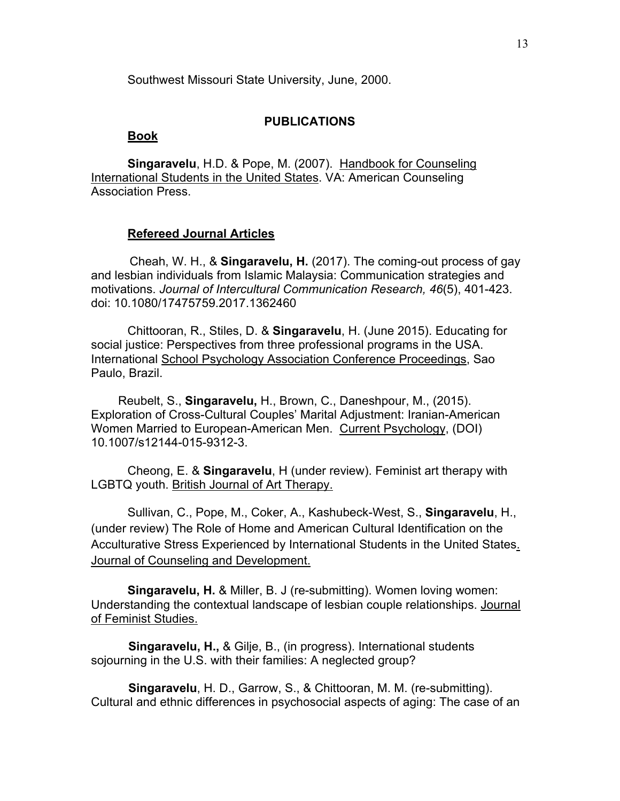Southwest Missouri State University, June, 2000.

### **PUBLICATIONS**

#### **Book**

**Singaravelu**, H.D. & Pope, M. (2007). Handbook for Counseling International Students in the United States. VA: American Counseling Association Press.

#### **Refereed Journal Articles**

 Cheah, W. H., & **Singaravelu, H.** (2017). The coming-out process of gay and lesbian individuals from Islamic Malaysia: Communication strategies and motivations. *Journal of Intercultural Communication Research, 46*(5), 401-423. doi: 10.1080/17475759.2017.1362460

Chittooran, R., Stiles, D. & **Singaravelu**, H. (June 2015). Educating for social justice: Perspectives from three professional programs in the USA. International School Psychology Association Conference Proceedings, Sao Paulo, Brazil.

 Reubelt, S., **Singaravelu,** H., Brown, C., Daneshpour, M., (2015). Exploration of Cross-Cultural Couples' Marital Adjustment: Iranian-American Women Married to European-American Men. Current Psychology, (DOI) 10.1007/s12144-015-9312-3.

Cheong, E. & **Singaravelu**, H (under review). Feminist art therapy with LGBTQ youth. British Journal of Art Therapy.

Sullivan, C., Pope, M., Coker, A., Kashubeck-West, S., **Singaravelu**, H., (under review) The Role of Home and American Cultural Identification on the Acculturative Stress Experienced by International Students in the United States. Journal of Counseling and Development.

**Singaravelu, H.** & Miller, B. J (re-submitting). Women loving women: Understanding the contextual landscape of lesbian couple relationships. Journal of Feminist Studies.

 **Singaravelu, H.,** & Gilje, B., (in progress). International students sojourning in the U.S. with their families: A neglected group?

 **Singaravelu**, H. D., Garrow, S., & Chittooran, M. M. (re-submitting). Cultural and ethnic differences in psychosocial aspects of aging: The case of an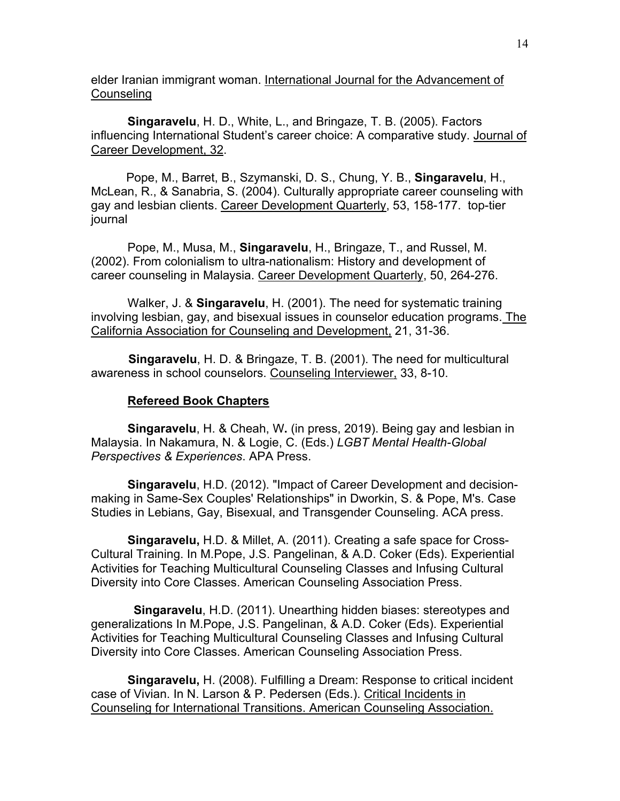elder Iranian immigrant woman. International Journal for the Advancement of **Counseling** 

 **Singaravelu**, H. D., White, L., and Bringaze, T. B. (2005). Factors influencing International Student's career choice: A comparative study. Journal of Career Development, 32.

 Pope, M., Barret, B., Szymanski, D. S., Chung, Y. B., **Singaravelu**, H., McLean, R., & Sanabria, S. (2004). Culturally appropriate career counseling with gay and lesbian clients. Career Development Quarterly, 53, 158-177. top-tier journal

 Pope, M., Musa, M., **Singaravelu**, H., Bringaze, T., and Russel, M. (2002). From colonialism to ultra-nationalism: History and development of career counseling in Malaysia. Career Development Quarterly, 50, 264-276.

 Walker, J. & **Singaravelu**, H. (2001). The need for systematic training involving lesbian, gay, and bisexual issues in counselor education programs. The California Association for Counseling and Development, 21, 31-36.

 **Singaravelu**, H. D. & Bringaze, T. B. (2001). The need for multicultural awareness in school counselors. Counseling Interviewer, 33, 8-10.

### **Refereed Book Chapters**

**Singaravelu**, H. & Cheah, W**.** (in press, 2019). Being gay and lesbian in Malaysia. In Nakamura, N. & Logie, C. (Eds.) *LGBT Mental Health-Global Perspectives & Experiences*. APA Press.

**Singaravelu**, H.D. (2012). "Impact of Career Development and decisionmaking in Same-Sex Couples' Relationships" in Dworkin, S. & Pope, M's. Case Studies in Lebians, Gay, Bisexual, and Transgender Counseling. ACA press.

**Singaravelu,** H.D. & Millet, A. (2011). Creating a safe space for Cross-Cultural Training. In M.Pope, J.S. Pangelinan, & A.D. Coker (Eds). Experiential Activities for Teaching Multicultural Counseling Classes and Infusing Cultural Diversity into Core Classes. American Counseling Association Press.

 **Singaravelu**, H.D. (2011). Unearthing hidden biases: stereotypes and generalizations In M.Pope, J.S. Pangelinan, & A.D. Coker (Eds). Experiential Activities for Teaching Multicultural Counseling Classes and Infusing Cultural Diversity into Core Classes. American Counseling Association Press.

**Singaravelu,** H. (2008). Fulfilling a Dream: Response to critical incident case of Vivian. In N. Larson & P. Pedersen (Eds.). Critical Incidents in Counseling for International Transitions. American Counseling Association.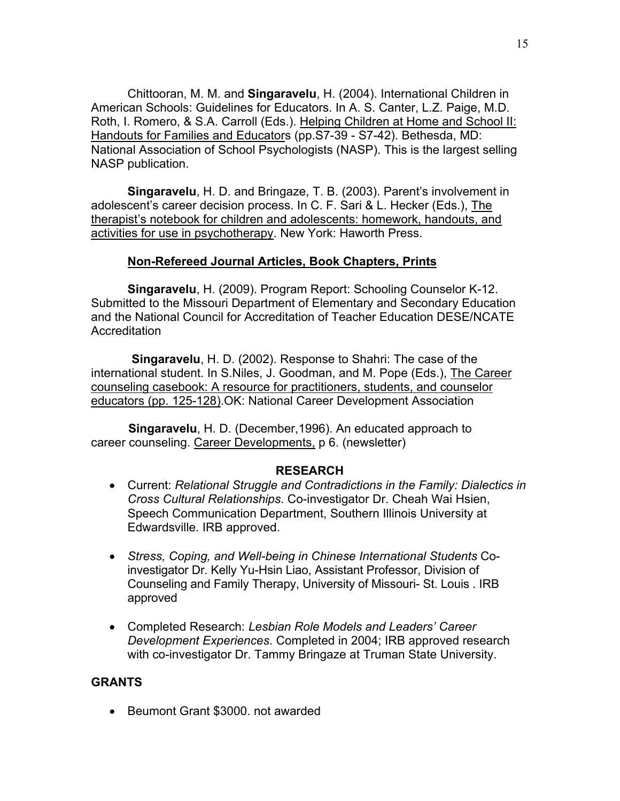Chittooran, M. M. and **Singaravelu**, H. (2004). International Children in American Schools: Guidelines for Educators. In A. S. Canter, L.Z. Paige, M.D. Roth, I. Romero, & S.A. Carroll (Eds.). Helping Children at Home and School II: Handouts for Families and Educators (pp.S7-39 - S7-42). Bethesda, MD: National Association of School Psychologists (NASP). This is the largest selling NASP publication.

 **Singaravelu**, H. D. and Bringaze, T. B. (2003). Parent's involvement in adolescent's career decision process. In C. F. Sari & L. Hecker (Eds.), The therapist's notebook for children and adolescents: homework, handouts, and activities for use in psychotherapy. New York: Haworth Press.

## **Non-Refereed Journal Articles, Book Chapters, Prints**

**Singaravelu**, H. (2009). Program Report: Schooling Counselor K-12. Submitted to the Missouri Department of Elementary and Secondary Education and the National Council for Accreditation of Teacher Education DESE/NCATE Accreditation

 **Singaravelu**, H. D. (2002). Response to Shahri: The case of the international student. In S.Niles, J. Goodman, and M. Pope (Eds.), The Career counseling casebook: A resource for practitioners, students, and counselor educators (pp. 125-128).OK: National Career Development Association

 **Singaravelu**, H. D. (December,1996). An educated approach to career counseling. Career Developments, p 6. (newsletter)

## **RESEARCH**

- Current: *Relational Struggle and Contradictions in the Family: Dialectics in Cross Cultural Relationships*. Co-investigator Dr. Cheah Wai Hsien, Speech Communication Department, Southern Illinois University at Edwardsville. IRB approved.
- *Stress, Coping, and Well-being in Chinese International Students* Coinvestigator Dr. Kelly Yu-Hsin Liao, Assistant Professor, Division of Counseling and Family Therapy, University of Missouri- St. Louis . IRB approved
- Completed Research: *Lesbian Role Models and Leaders' Career Development Experiences*. Completed in 2004; IRB approved research with co-investigator Dr. Tammy Bringaze at Truman State University.

## **GRANTS**

• Beumont Grant \$3000, not awarded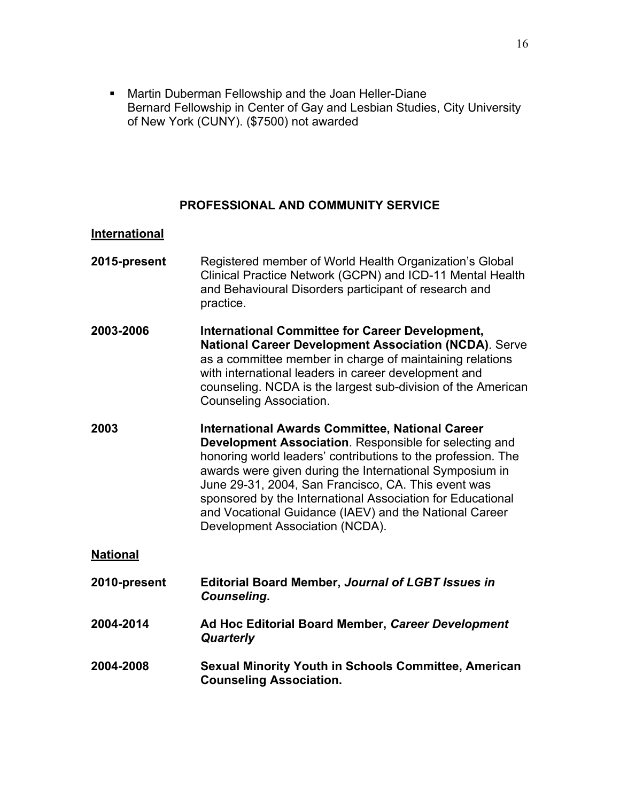**Martin Duberman Fellowship and the Joan Heller-Diane** Bernard Fellowship in Center of Gay and Lesbian Studies, City University of New York (CUNY). (\$7500) not awarded

## **PROFESSIONAL AND COMMUNITY SERVICE**

## **International**

| 2015-present    | Registered member of World Health Organization's Global<br>Clinical Practice Network (GCPN) and ICD-11 Mental Health<br>and Behavioural Disorders participant of research and<br>practice.                                                                                                                                                                                                                                                                    |
|-----------------|---------------------------------------------------------------------------------------------------------------------------------------------------------------------------------------------------------------------------------------------------------------------------------------------------------------------------------------------------------------------------------------------------------------------------------------------------------------|
| 2003-2006       | <b>International Committee for Career Development,</b><br><b>National Career Development Association (NCDA).</b> Serve<br>as a committee member in charge of maintaining relations<br>with international leaders in career development and<br>counseling. NCDA is the largest sub-division of the American<br><b>Counseling Association.</b>                                                                                                                  |
| 2003            | <b>International Awards Committee, National Career</b><br>Development Association. Responsible for selecting and<br>honoring world leaders' contributions to the profession. The<br>awards were given during the International Symposium in<br>June 29-31, 2004, San Francisco, CA. This event was<br>sponsored by the International Association for Educational<br>and Vocational Guidance (IAEV) and the National Career<br>Development Association (NCDA). |
| <b>National</b> |                                                                                                                                                                                                                                                                                                                                                                                                                                                               |
| 2010-present    | <b>Editorial Board Member, Journal of LGBT Issues in</b><br><b>Counseling.</b>                                                                                                                                                                                                                                                                                                                                                                                |
| 2004-2014       | Ad Hoc Editorial Board Member, Career Development<br><b>Quarterly</b>                                                                                                                                                                                                                                                                                                                                                                                         |
| 2004-2008       | <b>Sexual Minority Youth in Schools Committee, American</b><br><b>Counseling Association.</b>                                                                                                                                                                                                                                                                                                                                                                 |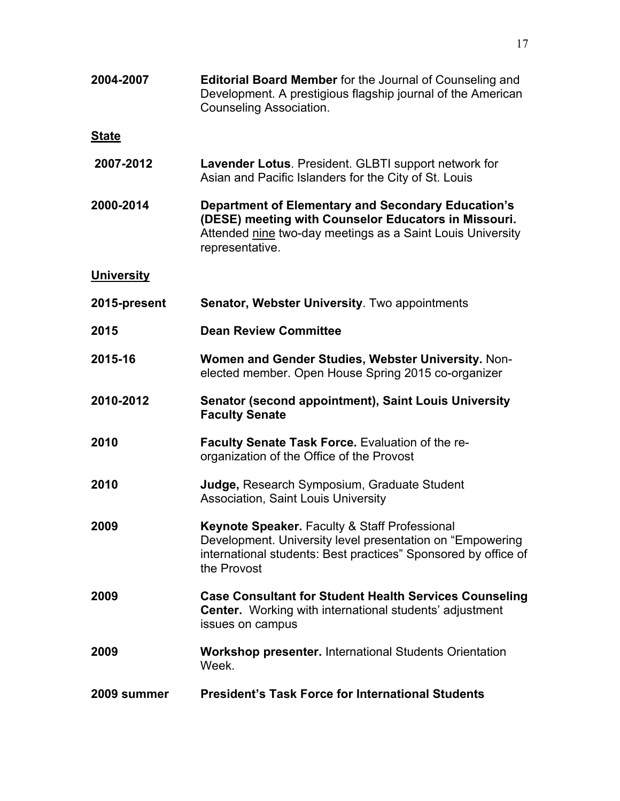| 2004-2007         | <b>Editorial Board Member for the Journal of Counseling and</b><br>Development. A prestigious flagship journal of the American<br><b>Counseling Association.</b>                                   |
|-------------------|----------------------------------------------------------------------------------------------------------------------------------------------------------------------------------------------------|
| <b>State</b>      |                                                                                                                                                                                                    |
| 2007-2012         | Lavender Lotus. President. GLBTI support network for<br>Asian and Pacific Islanders for the City of St. Louis                                                                                      |
| 2000-2014         | <b>Department of Elementary and Secondary Education's</b><br>(DESE) meeting with Counselor Educators in Missouri.<br>Attended nine two-day meetings as a Saint Louis University<br>representative. |
| <b>University</b> |                                                                                                                                                                                                    |
| 2015-present      | <b>Senator, Webster University.</b> Two appointments                                                                                                                                               |
| 2015              | <b>Dean Review Committee</b>                                                                                                                                                                       |
| 2015-16           | Women and Gender Studies, Webster University. Non-<br>elected member. Open House Spring 2015 co-organizer                                                                                          |
| 2010-2012         | <b>Senator (second appointment), Saint Louis University</b><br><b>Faculty Senate</b>                                                                                                               |
| 2010              | <b>Faculty Senate Task Force.</b> Evaluation of the re-<br>organization of the Office of the Provost                                                                                               |
| 2010              | Judge, Research Symposium, Graduate Student<br>Association, Saint Louis University                                                                                                                 |
| 2009              | Keynote Speaker. Faculty & Staff Professional<br>Development. University level presentation on "Empowering"<br>international students: Best practices" Sponsored by office of<br>the Provost       |
| 2009              | <b>Case Consultant for Student Health Services Counseling</b><br><b>Center.</b> Working with international students' adjustment<br>issues on campus                                                |
| 2009              | <b>Workshop presenter.</b> International Students Orientation<br>Week.                                                                                                                             |
| 2009 summer       | <b>President's Task Force for International Students</b>                                                                                                                                           |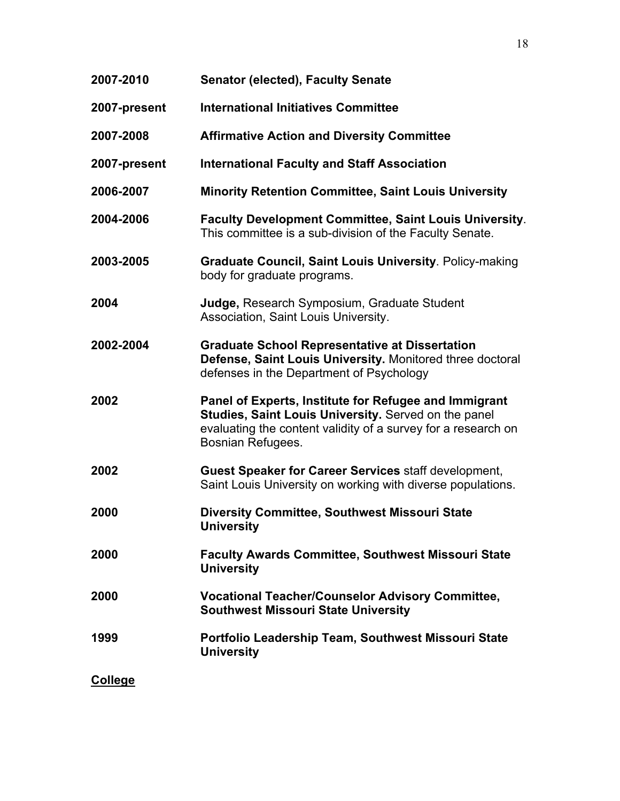| 2007-2010    | <b>Senator (elected), Faculty Senate</b>                                                                                                                                                            |
|--------------|-----------------------------------------------------------------------------------------------------------------------------------------------------------------------------------------------------|
| 2007-present | <b>International Initiatives Committee</b>                                                                                                                                                          |
| 2007-2008    | <b>Affirmative Action and Diversity Committee</b>                                                                                                                                                   |
| 2007-present | <b>International Faculty and Staff Association</b>                                                                                                                                                  |
| 2006-2007    | <b>Minority Retention Committee, Saint Louis University</b>                                                                                                                                         |
| 2004-2006    | Faculty Development Committee, Saint Louis University.<br>This committee is a sub-division of the Faculty Senate.                                                                                   |
| 2003-2005    | <b>Graduate Council, Saint Louis University. Policy-making</b><br>body for graduate programs.                                                                                                       |
| 2004         | Judge, Research Symposium, Graduate Student<br>Association, Saint Louis University.                                                                                                                 |
| 2002-2004    | <b>Graduate School Representative at Dissertation</b><br>Defense, Saint Louis University. Monitored three doctoral<br>defenses in the Department of Psychology                                      |
| 2002         | Panel of Experts, Institute for Refugee and Immigrant<br>Studies, Saint Louis University. Served on the panel<br>evaluating the content validity of a survey for a research on<br>Bosnian Refugees. |
| 2002         | <b>Guest Speaker for Career Services staff development,</b><br>Saint Louis University on working with diverse populations.                                                                          |
| 2000         | Diversity Committee, Southwest Missouri State<br><b>University</b>                                                                                                                                  |
| 2000         | <b>Faculty Awards Committee, Southwest Missouri State</b><br><b>University</b>                                                                                                                      |
| 2000         | <b>Vocational Teacher/Counselor Advisory Committee,</b><br><b>Southwest Missouri State University</b>                                                                                               |
| 1999         | Portfolio Leadership Team, Southwest Missouri State<br><b>University</b>                                                                                                                            |
| College      |                                                                                                                                                                                                     |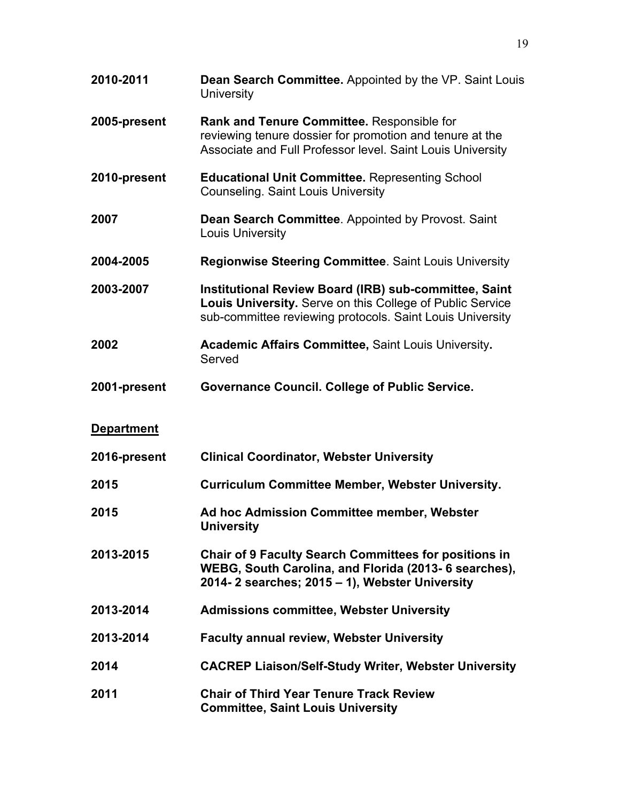| 2010-2011         | Dean Search Committee. Appointed by the VP. Saint Louis<br><b>University</b>                                                                                                           |
|-------------------|----------------------------------------------------------------------------------------------------------------------------------------------------------------------------------------|
| 2005-present      | Rank and Tenure Committee. Responsible for<br>reviewing tenure dossier for promotion and tenure at the<br>Associate and Full Professor level. Saint Louis University                   |
| 2010-present      | <b>Educational Unit Committee. Representing School</b><br><b>Counseling. Saint Louis University</b>                                                                                    |
| 2007              | Dean Search Committee. Appointed by Provost. Saint<br>Louis University                                                                                                                 |
| 2004-2005         | <b>Regionwise Steering Committee. Saint Louis University</b>                                                                                                                           |
| 2003-2007         | <b>Institutional Review Board (IRB) sub-committee, Saint</b><br>Louis University. Serve on this College of Public Service<br>sub-committee reviewing protocols. Saint Louis University |
| 2002              | <b>Academic Affairs Committee, Saint Louis University.</b><br>Served                                                                                                                   |
| 2001-present      | <b>Governance Council. College of Public Service.</b>                                                                                                                                  |
| <b>Department</b> |                                                                                                                                                                                        |
| 2016-present      | <b>Clinical Coordinator, Webster University</b>                                                                                                                                        |
| 2015              | <b>Curriculum Committee Member, Webster University.</b>                                                                                                                                |
| 2015              | Ad hoc Admission Committee member, Webster<br><b>University</b>                                                                                                                        |
| 2013-2015         | <b>Chair of 9 Faculty Search Committees for positions in</b><br>WEBG, South Carolina, and Florida (2013- 6 searches),<br>2014-2 searches; 2015 - 1), Webster University                |
| 2013-2014         | <b>Admissions committee, Webster University</b>                                                                                                                                        |
| 2013-2014         | <b>Faculty annual review, Webster University</b>                                                                                                                                       |
| 2014              | <b>CACREP Liaison/Self-Study Writer, Webster University</b>                                                                                                                            |
| 2011              | <b>Chair of Third Year Tenure Track Review</b><br><b>Committee, Saint Louis University</b>                                                                                             |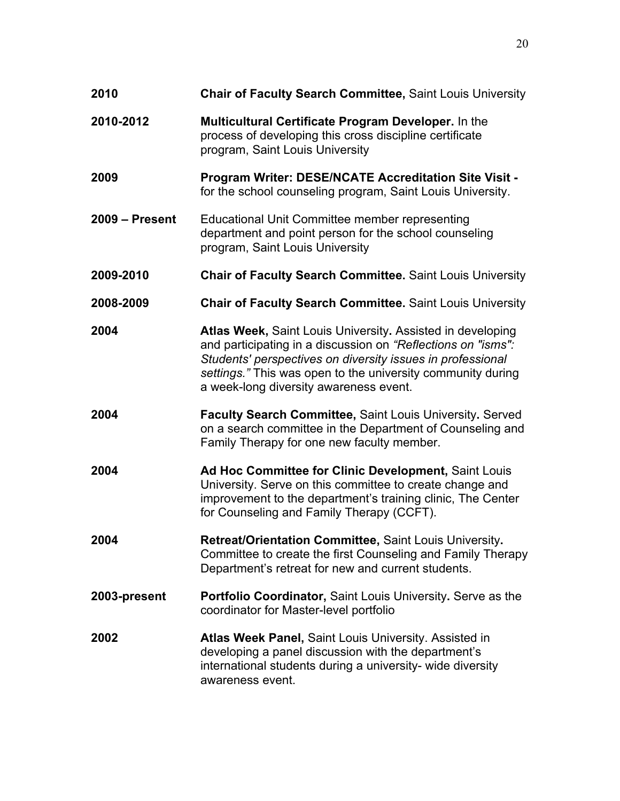| 2010             | <b>Chair of Faculty Search Committee, Saint Louis University</b>                                                                                                                                                                                                                                  |
|------------------|---------------------------------------------------------------------------------------------------------------------------------------------------------------------------------------------------------------------------------------------------------------------------------------------------|
| 2010-2012        | <b>Multicultural Certificate Program Developer.</b> In the<br>process of developing this cross discipline certificate<br>program, Saint Louis University                                                                                                                                          |
| 2009             | <b>Program Writer: DESE/NCATE Accreditation Site Visit -</b><br>for the school counseling program, Saint Louis University.                                                                                                                                                                        |
| $2009 - Present$ | Educational Unit Committee member representing<br>department and point person for the school counseling<br>program, Saint Louis University                                                                                                                                                        |
| 2009-2010        | <b>Chair of Faculty Search Committee. Saint Louis University</b>                                                                                                                                                                                                                                  |
| 2008-2009        | <b>Chair of Faculty Search Committee. Saint Louis University</b>                                                                                                                                                                                                                                  |
| 2004             | Atlas Week, Saint Louis University. Assisted in developing<br>and participating in a discussion on "Reflections on "isms":<br>Students' perspectives on diversity issues in professional<br>settings." This was open to the university community during<br>a week-long diversity awareness event. |
| 2004             | <b>Faculty Search Committee, Saint Louis University. Served</b><br>on a search committee in the Department of Counseling and<br>Family Therapy for one new faculty member.                                                                                                                        |
| 2004             | Ad Hoc Committee for Clinic Development, Saint Louis<br>University. Serve on this committee to create change and<br>improvement to the department's training clinic, The Center<br>for Counseling and Family Therapy (CCFT).                                                                      |
| 2004             | Retreat/Orientation Committee, Saint Louis University.<br>Committee to create the first Counseling and Family Therapy<br>Department's retreat for new and current students.                                                                                                                       |
| 2003-present     | <b>Portfolio Coordinator, Saint Louis University. Serve as the</b><br>coordinator for Master-level portfolio                                                                                                                                                                                      |
| 2002             | Atlas Week Panel, Saint Louis University. Assisted in<br>developing a panel discussion with the department's<br>international students during a university- wide diversity<br>awareness event.                                                                                                    |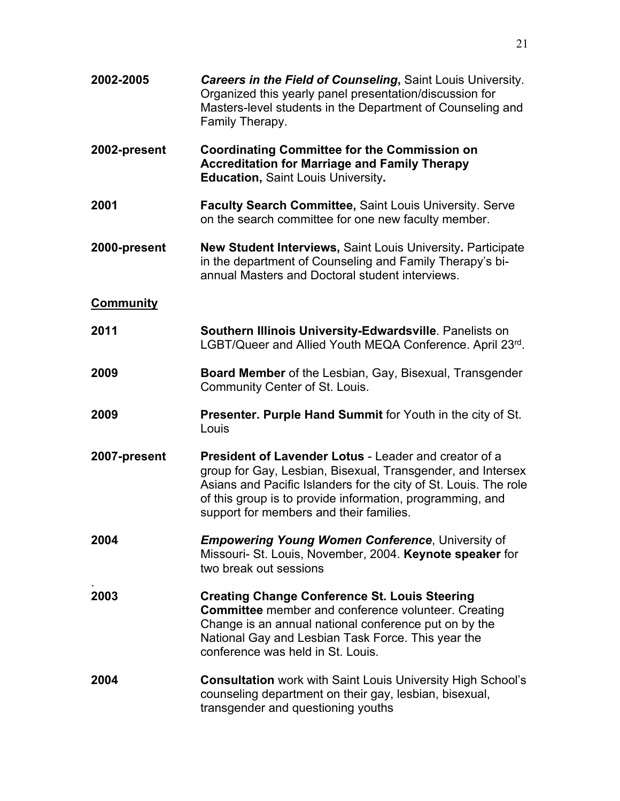| 2002-2005        | <b>Careers in the Field of Counseling, Saint Louis University.</b><br>Organized this yearly panel presentation/discussion for<br>Masters-level students in the Department of Counseling and<br>Family Therapy.                                                                                   |
|------------------|--------------------------------------------------------------------------------------------------------------------------------------------------------------------------------------------------------------------------------------------------------------------------------------------------|
| 2002-present     | <b>Coordinating Committee for the Commission on</b><br><b>Accreditation for Marriage and Family Therapy</b><br><b>Education, Saint Louis University.</b>                                                                                                                                         |
| 2001             | <b>Faculty Search Committee, Saint Louis University. Serve</b><br>on the search committee for one new faculty member.                                                                                                                                                                            |
| 2000-present     | <b>New Student Interviews, Saint Louis University. Participate</b><br>in the department of Counseling and Family Therapy's bi-<br>annual Masters and Doctoral student interviews.                                                                                                                |
| <b>Community</b> |                                                                                                                                                                                                                                                                                                  |
| 2011             | Southern Illinois University-Edwardsville. Panelists on<br>LGBT/Queer and Allied Youth MEQA Conference. April 23rd.                                                                                                                                                                              |
| 2009             | <b>Board Member</b> of the Lesbian, Gay, Bisexual, Transgender<br>Community Center of St. Louis.                                                                                                                                                                                                 |
| 2009             | Presenter. Purple Hand Summit for Youth in the city of St.<br>Louis                                                                                                                                                                                                                              |
| 2007-present     | President of Lavender Lotus - Leader and creator of a<br>group for Gay, Lesbian, Bisexual, Transgender, and Intersex<br>Asians and Pacific Islanders for the city of St. Louis. The role<br>of this group is to provide information, programming, and<br>support for members and their families. |
| 2004             | <b>Empowering Young Women Conference, University of</b><br>Missouri- St. Louis, November, 2004. Keynote speaker for<br>two break out sessions                                                                                                                                                    |
| 2003             | <b>Creating Change Conference St. Louis Steering</b><br><b>Committee</b> member and conference volunteer. Creating<br>Change is an annual national conference put on by the<br>National Gay and Lesbian Task Force. This year the<br>conference was held in St. Louis.                           |
| 2004             | <b>Consultation</b> work with Saint Louis University High School's<br>counseling department on their gay, lesbian, bisexual,<br>transgender and questioning youths                                                                                                                               |